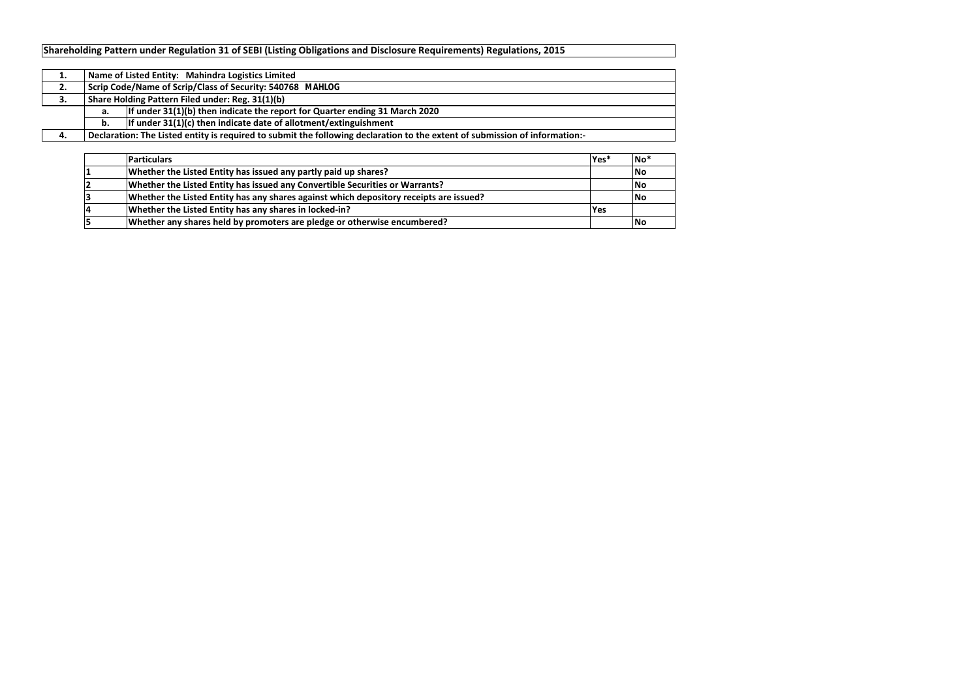| <b>Particulars</b>                                                                     | $\textsf{Yes}^*$ | $\overline{\mathsf{No}}^*$ |
|----------------------------------------------------------------------------------------|------------------|----------------------------|
| Whether the Listed Entity has issued any partly paid up shares?                        |                  | <b>No</b>                  |
| Whether the Listed Entity has issued any Convertible Securities or Warrants?           |                  | <b>INo</b>                 |
| Whether the Listed Entity has any shares against which depository receipts are issued? |                  | <b>IN</b> o                |
| Whether the Listed Entity has any shares in locked-in?                                 | <b>P</b> es      |                            |
| Whether any shares held by promoters are pledge or otherwise encumbered?               |                  | <b>No</b>                  |

| ∸. |    | Name of Listed Entity: Mahindra Logistics Limited                                                                           |  |  |  |  |  |  |  |
|----|----|-----------------------------------------------------------------------------------------------------------------------------|--|--|--|--|--|--|--|
| 2. |    | Scrip Code/Name of Scrip/Class of Security: 540768 MAHLOG                                                                   |  |  |  |  |  |  |  |
| э. |    | Share Holding Pattern Filed under: Reg. 31(1)(b)                                                                            |  |  |  |  |  |  |  |
|    | а. | If under $31(1)(b)$ then indicate the report for Quarter ending 31 March 2020                                               |  |  |  |  |  |  |  |
|    | b. | If under $31(1)(c)$ then indicate date of allotment/extinguishment                                                          |  |  |  |  |  |  |  |
|    |    | Declaration: The Listed entity is required to submit the following declaration to the extent of submission of information:- |  |  |  |  |  |  |  |

# **Shareholding Pattern under Regulation 31 of SEBI (Listing Obligations and Disclosure Requirements) Regulations, 2015**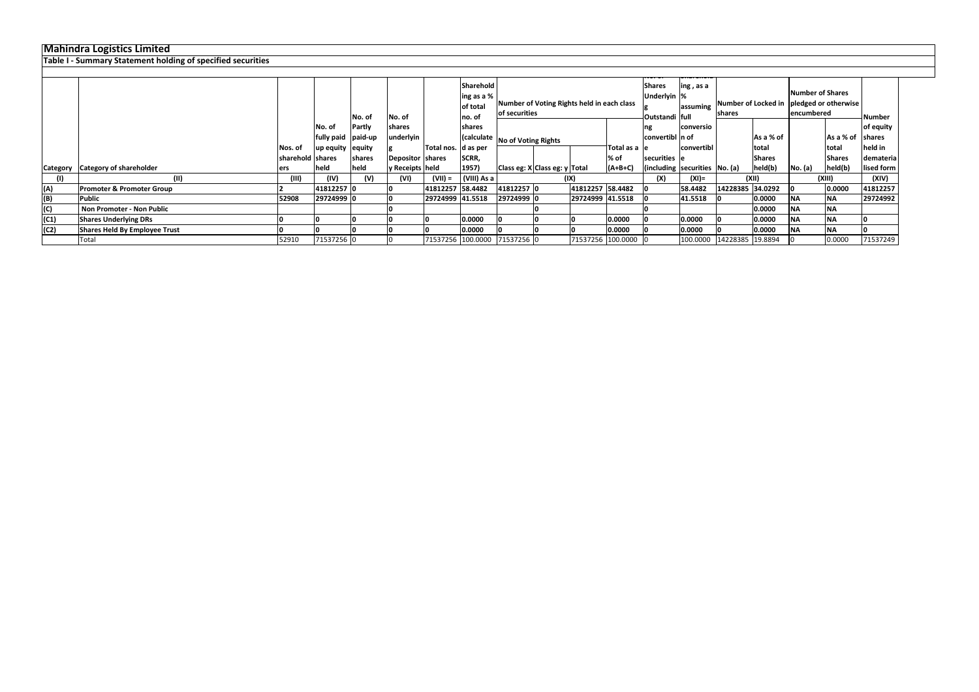|      | Table T-Summary Statement holding of specified securities |                  |                    |        |                   |                      |                                      |                                |                                            |                  |                     |                                           |                                                         |                           |                                                   |            |                         |               |
|------|-----------------------------------------------------------|------------------|--------------------|--------|-------------------|----------------------|--------------------------------------|--------------------------------|--------------------------------------------|------------------|---------------------|-------------------------------------------|---------------------------------------------------------|---------------------------|---------------------------------------------------|------------|-------------------------|---------------|
|      |                                                           |                  |                    |        |                   |                      |                                      |                                |                                            |                  |                     |                                           |                                                         |                           |                                                   |            |                         |               |
|      |                                                           |                  |                    |        |                   |                      | Sharehold<br>ling as a %<br>of total |                                | Number of Voting Rights held in each class |                  |                     | <b>Shares</b><br>ing, as a<br>Underlyin % |                                                         |                           | assuming Number of Locked in pledged or otherwise |            | <b>Number of Shares</b> |               |
|      |                                                           |                  |                    | No. of | No. of            |                      | lno. of                              | of securities                  |                                            |                  |                     | Outstandi full                            |                                                         | shares                    |                                                   | encumbered |                         | <b>Number</b> |
|      |                                                           |                  | No. of             | Partly | <b>shares</b>     |                      | shares                               |                                |                                            |                  |                     |                                           | <b>conversio</b>                                        |                           |                                                   |            |                         | of equity     |
|      |                                                           |                  | fully paid paid-up |        | underlyin         |                      |                                      | (calculate No of Voting Rights |                                            |                  |                     | convertibl n of                           |                                                         |                           | As a % of                                         |            | As a % of shares        |               |
|      |                                                           | Nos. of          | up equity equity   |        |                   | Total nos.  d as per |                                      |                                |                                            |                  | Total as a le       |                                           | convertibl                                              |                           | total                                             |            | total                   | held in       |
|      |                                                           | sharehold shares |                    | shares | Depositor Shares  |                      | SCRR,                                |                                |                                            |                  | % of                | securities le                             |                                                         |                           | <b>Shares</b>                                     |            | <b>Shares</b>           | demateria     |
|      | Category Category of shareholder                          | ers              | held               | held   | y Receipts   held |                      | 1957)                                | Class eg: X Class eg: y Total  |                                            |                  | $(A+B+C)$           |                                           | $\left  \right $ (including securities $\left $ No. (a) |                           | held(b)                                           | No. (a)    | held(b)                 | lised form    |
|      |                                                           | (III)            | (IV)               | (V)    | (VI)              | (VII) =              | (VIII) As a                          |                                | (IX)                                       |                  |                     | (X)                                       | (XI)=                                                   |                           | (XII)                                             |            | (XIII)                  | (XIV)         |
| (A)  | <b>Promoter &amp; Promoter Group</b>                      |                  | 41812257 0         |        |                   | 41812257 58.4482     |                                      | 41812257 0                     |                                            | 41812257 58.4482 |                     |                                           | 58.4482                                                 | 14228385 34.0292          |                                                   |            | 0.0000                  | 41812257      |
| (B)  | Public                                                    | 52908            | 29724999 0         |        |                   | 29724999 41.5518     |                                      | 29724999 0                     |                                            | 29724999 41.5518 |                     |                                           | 41.5518                                                 |                           | 0.0000                                            | <b>NA</b>  | ΝA                      | 29724992      |
| (C)  | Non Promoter - Non Public                                 |                  |                    |        |                   |                      |                                      |                                |                                            |                  |                     |                                           |                                                         |                           | 0.0000                                            | <b>NA</b>  | <b>NA</b>               |               |
| (C1) | <b>Shares Underlying DRs</b>                              |                  |                    |        |                   |                      | 0.0000                               |                                |                                            |                  | 0.0000              |                                           | 0.0000                                                  |                           | 0.0000                                            | <b>NA</b>  | <b>NA</b>               |               |
| (C2) | <b>Shares Held By Employee Trust</b>                      |                  |                    |        |                   |                      | 0.0000                               |                                |                                            |                  | 0.0000              |                                           | 0.0000                                                  |                           | 0.0000                                            | <b>NA</b>  | <b>NA</b>               |               |
|      | Total                                                     | 52910            | 71537256 0         |        |                   |                      |                                      | 71537256 100.0000 71537256 0   |                                            |                  | 71537256 100.0000 0 |                                           |                                                         | 100.0000 14228385 19.8894 |                                                   |            | 0.0000                  | 71537249      |

## **Mahindra Logistics Limited**

**Table I - Summary Statement holding of specified securities**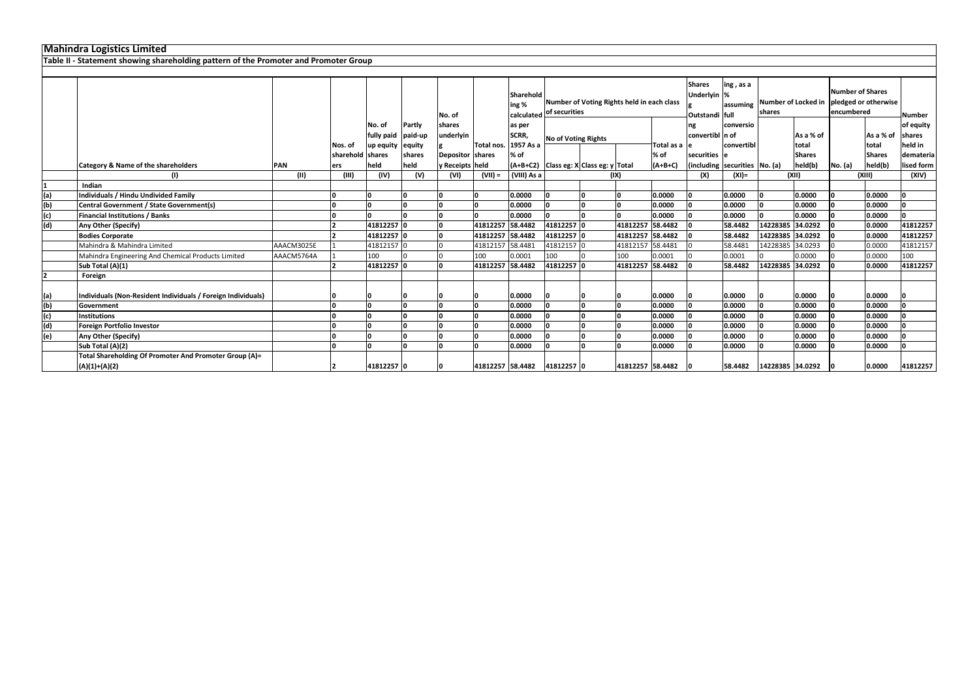|     | <b>IVIAHIIIUI A LUGISLIUS LIIHILEU</b>                                               |            |                  |            |         |                  |                  |                           |                             |                                            |                  |               |                                                |                                                 |                  |               |                                                                              |               |               |
|-----|--------------------------------------------------------------------------------------|------------|------------------|------------|---------|------------------|------------------|---------------------------|-----------------------------|--------------------------------------------|------------------|---------------|------------------------------------------------|-------------------------------------------------|------------------|---------------|------------------------------------------------------------------------------|---------------|---------------|
|     | Table II - Statement showing shareholding pattern of the Promoter and Promoter Group |            |                  |            |         |                  |                  |                           |                             |                                            |                  |               |                                                |                                                 |                  |               |                                                                              |               |               |
|     |                                                                                      |            |                  |            |         |                  |                  |                           |                             |                                            |                  |               |                                                |                                                 |                  |               |                                                                              |               |               |
|     |                                                                                      |            |                  |            |         | No. of           |                  | <b>Sharehold</b><br>ing % | calculated of securities    | Number of Voting Rights held in each class |                  |               | <b>Shares</b><br>Underlyin %<br>Outstandi full | ing, as a<br>assuming                           | shares           |               | Number of Shares<br>Number of Locked in   pledged or otherwise<br>encumbered |               | Number        |
|     |                                                                                      |            |                  | No. of     | Partly  | shares           |                  | as per                    |                             |                                            |                  |               | ng                                             | conversio                                       |                  |               |                                                                              |               | of equity     |
|     |                                                                                      |            |                  | fully paid | paid-up | underlyin        |                  | SCRR,                     |                             |                                            |                  |               | convertibl n of                                |                                                 |                  | As a % of     |                                                                              | As a % of     | <b>shares</b> |
|     |                                                                                      |            | Nos. of          | up equity  | equity  |                  | Total nos.       | 1957 As a                 | No of Voting Rights         |                                            |                  | Total as a le |                                                | convertibl                                      |                  | total         |                                                                              | total         | held in       |
|     |                                                                                      |            | sharehold shares |            | shares  | Depositor shares |                  | % of                      |                             |                                            |                  | % of          | securities le                                  |                                                 |                  | <b>Shares</b> |                                                                              | <b>Shares</b> | demateria     |
|     | <b>Category &amp; Name of the shareholders</b>                                       | <b>PAN</b> | ers              | held       | held    | y Receipts held  |                  |                           |                             | $(A+B+C2)$ Class eg: X Class eg: y Total   |                  | $(A+B+C)$     |                                                | $\left $ (including securities $\left $ No. (a) |                  | held(b)       | No. (a)                                                                      | held(b)       | lised form    |
|     |                                                                                      | (II)       | (III)            | (IV)       | (V)     | (VI)             | $(VII) =$        | (VIII) As a               |                             | (IX)                                       |                  |               | (X)                                            | $(XI) =$                                        | (X  )            |               | (XIII)                                                                       |               | (XIV)         |
|     | Indian                                                                               |            |                  |            |         |                  |                  |                           |                             |                                            |                  |               |                                                |                                                 |                  |               |                                                                              |               |               |
| (a) | Individuals / Hindu Undivided Family                                                 |            |                  |            |         |                  |                  | 0.0000                    |                             |                                            |                  | 0.0000        |                                                | 0.0000                                          |                  | 0.0000        |                                                                              | 0.0000        | I۵            |
| (b) | Central Government / State Government(s)                                             |            |                  |            |         |                  |                  | 0.0000                    |                             |                                            |                  | 0.0000        |                                                | 0.0000                                          |                  | 0.0000        |                                                                              | 0.0000        | l∩            |
| (c) | <b>Financial Institutions / Banks</b>                                                |            |                  |            |         |                  |                  | 0.0000                    |                             |                                            |                  | 0.0000        |                                                | 0.0000                                          |                  | 0.0000        |                                                                              | 0.0000        |               |
| (d) | Any Other (Specify)                                                                  |            |                  | 41812257 0 |         |                  | 41812257 58.4482 |                           | 41812257 0                  |                                            | 41812257         | 58.4482       |                                                | 58.4482                                         | 14228385 34.0292 |               |                                                                              | 0.0000        | 41812257      |
|     | <b>Bodies Corporate</b>                                                              |            |                  | 41812257 0 |         |                  | 41812257 58.4482 |                           | 41812257                    |                                            | 41812257 58.4482 |               |                                                | 58.4482                                         | 14228385 34.0292 |               |                                                                              | 0.0000        | 41812257      |
|     | Mahindra & Mahindra Limited                                                          | AAACM3025E |                  | 41812157 0 |         |                  | 41812157 58.4481 |                           | 41812157                    |                                            | 41812157 58.4481 |               |                                                | 58.4481                                         | 14228385 34.0293 |               |                                                                              | 0.0000        | 41812157      |
|     | Mahindra Engineering And Chemical Products Limited                                   | AAACM5764A |                  | 100        |         |                  | 100              | 0.0001                    | 100                         |                                            | 100              | 0.0001        |                                                | 0.0001                                          |                  | 0.0000        |                                                                              | 0.0000        | 100           |
|     | Sub Total (A)(1)                                                                     |            |                  | 41812257 0 |         |                  | 41812257 58.4482 |                           | 41812257                    |                                            | 41812257 58.4482 |               |                                                | 58.4482                                         | 14228385 34.0292 |               |                                                                              | 0.0000        | 41812257      |
|     | Foreign                                                                              |            |                  |            |         |                  |                  |                           |                             |                                            |                  |               |                                                |                                                 |                  |               |                                                                              |               |               |
| (a) | Individuals (Non-Resident Individuals / Foreign Individuals)                         |            |                  |            |         |                  |                  | 0.0000                    |                             |                                            |                  | 0.0000        |                                                | 0.0000                                          |                  | 0.0000        |                                                                              | 0.0000        |               |
| (b) | Government                                                                           |            |                  |            | n.      |                  |                  | 0.0000                    |                             |                                            |                  | 0.0000        |                                                | 0.0000                                          |                  | 0.0000        |                                                                              | 0.0000        |               |
| (c) | <b>Institutions</b>                                                                  |            |                  |            |         |                  |                  | 0.0000                    |                             |                                            |                  | 0.0000        |                                                | 0.0000                                          |                  | 0.0000        |                                                                              | 0.0000        |               |
| (d) | Foreign Portfolio Investor                                                           |            |                  |            |         |                  |                  | 0.0000                    |                             |                                            |                  | 0.0000        |                                                | 0.0000                                          |                  | 0.0000        |                                                                              | 0.0000        |               |
| (e) | Any Other (Specify)                                                                  |            |                  |            |         |                  |                  | 0.0000                    |                             |                                            |                  | 0.0000        |                                                | 0.0000                                          |                  | 0.0000        |                                                                              | 0.0000        |               |
|     | Sub Total (A)(2)                                                                     |            |                  |            | n.      |                  |                  | 0.0000                    |                             |                                            |                  | 0.0000        |                                                | 0.0000                                          |                  | 0.0000        |                                                                              | 0.0000        |               |
|     | Total Shareholding Of Promoter And Promoter Group (A)=                               |            |                  |            |         |                  |                  |                           |                             |                                            |                  |               |                                                |                                                 |                  |               |                                                                              |               |               |
|     | $(A)(1)+(A)(2)$                                                                      |            |                  | 41812257 0 |         |                  |                  |                           | 41812257 58.4482 41812257 0 |                                            | 41812257 58.4482 |               |                                                | 58.4482                                         | 14228385 34.0292 |               |                                                                              | 0.0000        | 41812257      |

# **Mahindra Logistics Limited**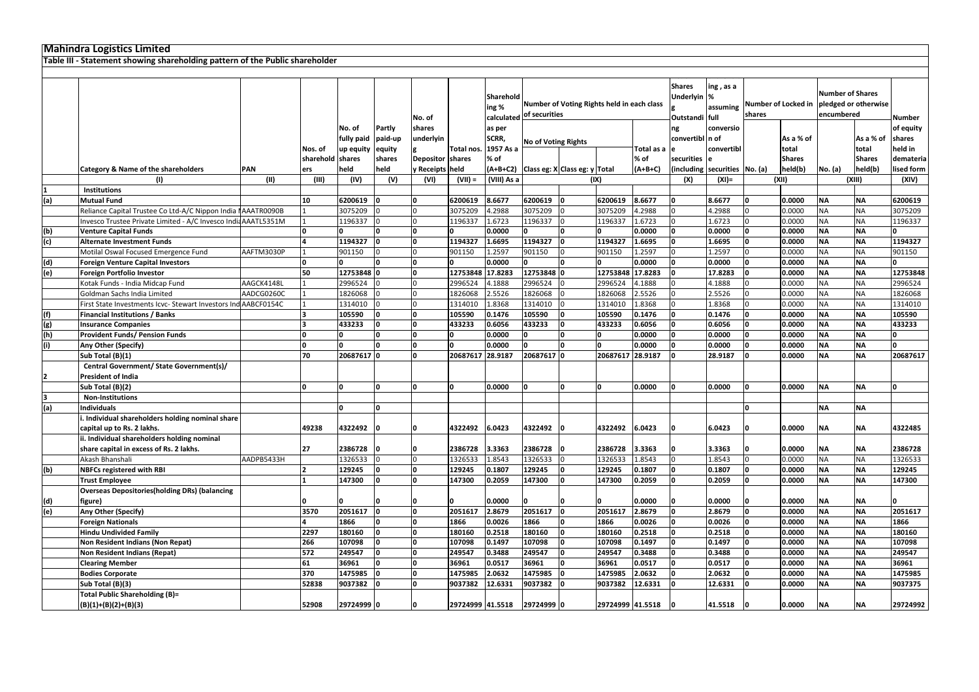|            | <b>Mahindra Logistics Limited</b>                                             |             |                  |                                   |                             |                                               |                     |                                            |                   |                                          |                                                |                       |                               |                         |                                                               |                    |                        |                        |                                        |
|------------|-------------------------------------------------------------------------------|-------------|------------------|-----------------------------------|-----------------------------|-----------------------------------------------|---------------------|--------------------------------------------|-------------------|------------------------------------------|------------------------------------------------|-----------------------|-------------------------------|-------------------------|---------------------------------------------------------------|--------------------|------------------------|------------------------|----------------------------------------|
|            | Table III - Statement showing shareholding pattern of the Public shareholder  |             |                  |                                   |                             |                                               |                     |                                            |                   |                                          |                                                |                       |                               |                         |                                                               |                    |                        |                        |                                        |
|            |                                                                               |             |                  |                                   |                             |                                               |                     |                                            |                   |                                          |                                                |                       |                               |                         |                                                               |                    |                        |                        |                                        |
|            |                                                                               |             | No. of           |                                   |                             | Sharehold<br>ing%<br>calculated of securities |                     | Number of Voting Rights held in each class |                   |                                          | <b>Shares</b><br>Underlyin %<br>Outstandi full | ing, as a<br>assuming | Number of Locked in<br>shares |                         | <b>Number of Shares</b><br>pledged or otherwise<br>encumbered |                    | Number                 |                        |                                        |
|            |                                                                               |             | Nos. of          | No. of<br>fully paid<br>up equity | Partly<br>paid-up<br>equity | shares<br>underlyin                           | Total nos.          | as per<br>SCRR,<br>1957 As a               |                   | <b>No of Voting Rights</b>               |                                                | Total as a            | ng<br>convertibl n of         | conversio<br>convertibl |                                                               | As a % of<br>total |                        | As a % of<br>total     | of equity<br><b>Ishares</b><br>held in |
|            |                                                                               |             | sharehold shares |                                   | shares                      | Depositor shares                              |                     | % of                                       |                   |                                          |                                                | % of                  | securities e                  |                         |                                                               | <b>Shares</b>      |                        | <b>Shares</b>          | demateria                              |
|            | <b>Category &amp; Name of the shareholders</b>                                | PAN<br>(11) | ers<br>(III)     | held<br>(IV)                      | held                        | y Receipts held                               | $(VII) =$           | (VIII) As a                                |                   | $(A+B+C2)$ Class eg: X Class eg: y Total | (IX)                                           | $(A+B+C)$             | (including securities No. (a) |                         |                                                               | held(b)<br>(XII)   | <b>No.</b> (a)         | held(b)<br>(XIII)      | lised form                             |
|            | (1)                                                                           |             |                  |                                   | (V)                         | (VI)                                          |                     |                                            |                   |                                          |                                                |                       | (X)                           | $(XI) =$                |                                                               |                    |                        |                        | (XIV)                                  |
|            | Institutions<br><b>Mutual Fund</b>                                            |             | 10               | 6200619                           |                             | I٥                                            | 6200619             | 8.6677                                     | 6200619           |                                          | 6200619                                        | 8.6677                | I٥                            | 8.6677                  |                                                               | 0.0000             | <b>NA</b>              | <b>NA</b>              | 6200619                                |
| (a)        |                                                                               |             |                  |                                   |                             |                                               | 3075209             | 4.2988                                     | 3075209           |                                          |                                                | 4.2988                |                               | 4.2988                  |                                                               | 0.0000             |                        | <b>NA</b>              |                                        |
|            | Reliance Capital Trustee Co Ltd-A/C Nippon India NAAATR0090B                  |             |                  | 3075209                           |                             |                                               |                     |                                            |                   |                                          | 3075209                                        |                       |                               |                         |                                                               |                    | <b>NA</b>              |                        | 3075209                                |
|            | Invesco Trustee Private Limited - A/C Invesco India AAATL5351M                |             |                  | 1196337                           |                             |                                               | 1196337             | 1.6723<br>0.0000                           | 1196337           | n                                        | 1196337                                        | 1.6723<br>0.0000      | I٥                            | 1.6723<br>0.0000        |                                                               | 0.0000<br>0.0000   | <b>NA</b><br><b>NA</b> | <b>NA</b><br><b>NA</b> | 1196337<br>n.                          |
| (b)        | <b>Venture Capital Funds</b>                                                  |             |                  |                                   |                             |                                               | 1194327             |                                            | 1194327           | I∩                                       |                                                |                       |                               |                         |                                                               |                    | <b>NA</b>              |                        |                                        |
| (c)        | <b>Alternate Investment Funds</b>                                             |             |                  | 1194327                           |                             |                                               |                     | 1.6695                                     |                   |                                          | 1194327                                        | 1.6695                |                               | 1.6695                  |                                                               | 0.0000             |                        | <b>NA</b>              | 1194327                                |
|            | Motilal Oswal Focused Emergence Fund                                          | AAFTM3030P  |                  | 901150                            |                             |                                               | 901150              | 1.2597<br>0.0000                           | 901150            |                                          | 901150                                         | 1.2597<br>0.0000      |                               | 1.2597<br>0.0000        |                                                               | 0.0000<br>0.0000   | <b>NA</b><br><b>NA</b> | <b>NA</b><br><b>NA</b> | 901150<br><sup>n</sup>                 |
| (d)        | <b>Foreign Venture Capital Investors</b><br><b>Foreign Portfolio Investor</b> |             | 50               |                                   |                             |                                               |                     |                                            | 12753848          |                                          |                                                |                       |                               | 17.8283                 |                                                               | 0.0000             | <b>NA</b>              | <b>NA</b>              |                                        |
| (e)        | Kotak Funds - India Midcap Fund                                               | AAGCK4148L  |                  | 12753848 0<br>2996524             |                             |                                               | 12753848<br>2996524 | 17.8283<br>4.1888                          | 2996524           |                                          | 12753848 17.8283<br>2996524                    | 4.1888                |                               | 4.1888                  |                                                               | 0.0000             | <b>NA</b>              |                        | 12753848<br>2996524                    |
|            | Goldman Sachs India Limited                                                   | AADCG0260C  |                  |                                   |                             |                                               | 1826068             | 2.5526                                     | 1826068           |                                          |                                                | 2.5526                |                               | 2.5526                  |                                                               | 0.0000             | <b>NA</b>              | <b>NA</b>              |                                        |
|            | First State Investments Icvc- Stewart Investors Ind AABCF0154C                |             |                  | 1826068                           |                             |                                               | 1314010             |                                            |                   |                                          | 1826068                                        | 1.8368                |                               | 1.8368                  |                                                               |                    |                        | <b>NA</b><br><b>NA</b> | 1826068<br>1314010                     |
|            |                                                                               |             |                  | 1314010                           |                             |                                               |                     | 1.8368                                     | 1314010<br>105590 |                                          | 1314010                                        | 0.1476                | I٥                            | 0.1476                  |                                                               | 0.0000             | <b>NA</b><br><b>NA</b> | <b>NA</b>              |                                        |
| (f)        | <b>Financial Institutions / Banks</b>                                         |             |                  | 105590                            |                             |                                               | 105590              | 0.1476<br>0.6056                           |                   |                                          | 105590                                         | 0.6056                |                               | 0.6056                  |                                                               | 0.0000             | <b>NA</b>              | <b>NA</b>              | 105590<br>433233                       |
| (g)<br>(h) | <b>Insurance Companies</b><br><b>Provident Funds/ Pension Funds</b>           |             |                  | 433233                            |                             |                                               | 433233              | 0.0000                                     | 433233            |                                          | 433233                                         | 0.0000                |                               | 0.0000                  |                                                               | 0.0000<br>0.0000   | <b>NA</b>              | <b>NA</b>              | n.                                     |
|            |                                                                               |             | I∩               |                                   | n                           | I٥                                            |                     |                                            |                   | n                                        |                                                |                       |                               |                         |                                                               |                    | <b>NA</b>              | <b>NA</b>              | l0.                                    |
| (i)        | Any Other (Specify)                                                           |             | 70               | 20687617 0                        |                             | I∩                                            | 20687617            | 0.0000<br>28.9187                          | 20687617 0        |                                          | 20687617 28.9187                               | 0.0000                |                               | 0.0000<br>28.9187       |                                                               | 0.0000             | <b>NA</b>              | <b>NA</b>              | 20687617                               |
|            | Sub Total (B)(1)<br>Central Government/ State Government(s)/                  |             |                  |                                   |                             |                                               |                     |                                            |                   |                                          |                                                |                       |                               |                         |                                                               | 0.0000             |                        |                        |                                        |
|            | <b>President of India</b>                                                     |             |                  |                                   |                             |                                               |                     |                                            |                   |                                          |                                                |                       |                               |                         |                                                               |                    |                        |                        |                                        |
|            | Sub Total (B)(2)                                                              |             | l N              |                                   | n.                          | I٥                                            | I∩                  | 0.0000                                     |                   | l0                                       | I٥                                             | 0.0000                |                               | 0.0000                  |                                                               | 0.0000             | <b>NA</b>              | <b>NA</b>              | n                                      |
|            | <b>Non-Institutions</b>                                                       |             |                  |                                   |                             |                                               |                     |                                            |                   |                                          |                                                |                       |                               |                         |                                                               |                    |                        |                        |                                        |
| (a)        | <b>Individuals</b>                                                            |             |                  |                                   | n                           |                                               |                     |                                            |                   |                                          |                                                |                       |                               |                         | I٥                                                            |                    | <b>NA</b>              | <b>NA</b>              |                                        |
|            | Individual shareholders holding nominal share                                 |             |                  |                                   |                             |                                               |                     |                                            |                   |                                          |                                                |                       |                               |                         |                                                               |                    |                        |                        |                                        |
|            | capital up to Rs. 2 lakhs.                                                    |             | 49238            | 4322492                           |                             |                                               | 4322492             | 6.0423                                     | 4322492 0         |                                          | 4322492 6.0423                                 |                       |                               | 6.0423                  |                                                               | 0.0000             | <b>NA</b>              | <b>NA</b>              | 4322485                                |
|            | ii. Individual shareholders holding nominal                                   |             |                  |                                   |                             |                                               |                     |                                            |                   |                                          |                                                |                       |                               |                         |                                                               |                    |                        |                        |                                        |
|            | share capital in excess of Rs. 2 lakhs.                                       |             | 27               | 2386728                           |                             |                                               | 2386728             | 3.3363                                     | 2386728           |                                          | 2386728                                        | 3.3363                |                               | 3.3363                  |                                                               | 0.0000             | <b>NA</b>              | NA.                    | 2386728                                |
|            | Akash Bhanshali                                                               | AADPB5433H  |                  | 1326533                           |                             |                                               | 1326533             | 1.8543                                     | 1326533           |                                          | 1326533                                        | 1.8543                |                               | 1.8543                  |                                                               | 0.0000             | <b>NA</b>              | <b>NA</b>              | 1326533                                |
| (b)        | <b>NBFCs registered with RBI</b>                                              |             |                  | 129245                            |                             |                                               | 129245              | 0.1807                                     | 129245            |                                          | 129245                                         | 0.1807                |                               | 0.1807                  |                                                               | 0.0000             | <b>NA</b>              | <b>NA</b>              | 129245                                 |
|            | <b>Trust Employee</b>                                                         |             |                  | 147300                            |                             |                                               | 147300              | 0.2059                                     | 147300            |                                          | 147300                                         | 0.2059                |                               | 0.2059                  |                                                               | 0.0000             | <b>NA</b>              | <b>NA</b>              | 147300                                 |
|            | <b>Overseas Depositories (holding DRs) (balancing</b>                         |             |                  |                                   |                             |                                               |                     |                                            |                   |                                          |                                                |                       |                               |                         |                                                               |                    |                        |                        |                                        |
|            | figure)                                                                       |             |                  |                                   |                             |                                               |                     | 0.0000                                     |                   |                                          |                                                | 0.0000                |                               | 0.0000                  |                                                               | 0.0000             | <b>NA</b>              | <b>NA</b>              |                                        |
| (d)<br>(e) | Any Other (Specify)                                                           |             | 3570             | 2051617                           |                             |                                               | 2051617             | 2.8679                                     | 2051617           |                                          | 2051617                                        | 2.8679                | I٥                            | 2.8679                  |                                                               | 0.0000             | <b>NA</b>              | <b>NA</b>              | 2051617                                |
|            | <b>Foreign Nationals</b>                                                      |             |                  | 1866                              |                             |                                               | 1866                | 0.0026                                     | 1866              |                                          | 1866                                           | 0.0026                | I٥                            | 0.0026                  |                                                               | 0.0000             | <b>NA</b>              | <b>NA</b>              | 1866                                   |
|            | <b>Hindu Undivided Family</b>                                                 |             | 2297             | 180160                            |                             |                                               | 180160              | 0.2518                                     | 180160            | n                                        | 180160                                         | 0.2518                | I٥                            | 0.2518                  |                                                               | 0.0000             | <b>NA</b>              | <b>NA</b>              | 180160                                 |
|            | Non Resident Indians (Non Repat)                                              |             | 266              | 107098                            |                             | I٥                                            | 107098              | 0.1497                                     | 107098            |                                          | 107098                                         | 0.1497                | I٥                            | 0.1497                  |                                                               | 0.0000             | <b>NA</b>              | <b>NA</b>              | 107098                                 |
|            | <b>Non Resident Indians (Repat)</b>                                           |             | 572              | 249547                            |                             |                                               | 249547              | 0.3488                                     | 249547            |                                          | 249547                                         | 0.3488                | I٥                            | 0.3488                  |                                                               | 0.0000             | <b>NA</b>              | <b>NA</b>              | 249547                                 |
|            | <b>Clearing Member</b>                                                        |             | 61               | 36961                             |                             |                                               | 36961               | 0.0517                                     | 36961             |                                          | 36961                                          | 0.0517                | I٥                            | 0.0517                  |                                                               | 0.0000             | <b>NA</b>              | <b>NA</b>              | 36961                                  |
|            | <b>Bodies Corporate</b>                                                       |             | 370              | 1475985                           |                             |                                               | 1475985             | 2.0632                                     | 1475985           |                                          | 1475985                                        | 2.0632                |                               | 2.0632                  |                                                               | 0.0000             | <b>NA</b>              | <b>NA</b>              | 1475985                                |
|            | Sub Total (B)(3)                                                              |             | 52838            | 9037382                           |                             | I٥                                            | 9037382             | 12.6331                                    | 9037382           |                                          | 9037382 12.6331                                |                       |                               | 12.6331                 |                                                               | 0.0000             | <b>NA</b>              | <b>NA</b>              | 9037375                                |
|            | <b>Total Public Shareholding (B)=</b>                                         |             |                  |                                   |                             |                                               |                     |                                            |                   |                                          |                                                |                       |                               |                         |                                                               |                    |                        |                        |                                        |
|            | $(B)(1)+(B)(2)+(B)(3)$                                                        |             | 52908            | 29724999 0                        |                             | I٥                                            | 29724999 41.5518    |                                            | 29724999 0        |                                          | 29724999 41.5518                               |                       |                               | 41.5518                 |                                                               | 0.0000             | <b>NA</b>              | <b>NA</b>              | 29724992                               |
|            |                                                                               |             |                  |                                   |                             |                                               |                     |                                            |                   |                                          |                                                |                       |                               |                         |                                                               |                    |                        |                        |                                        |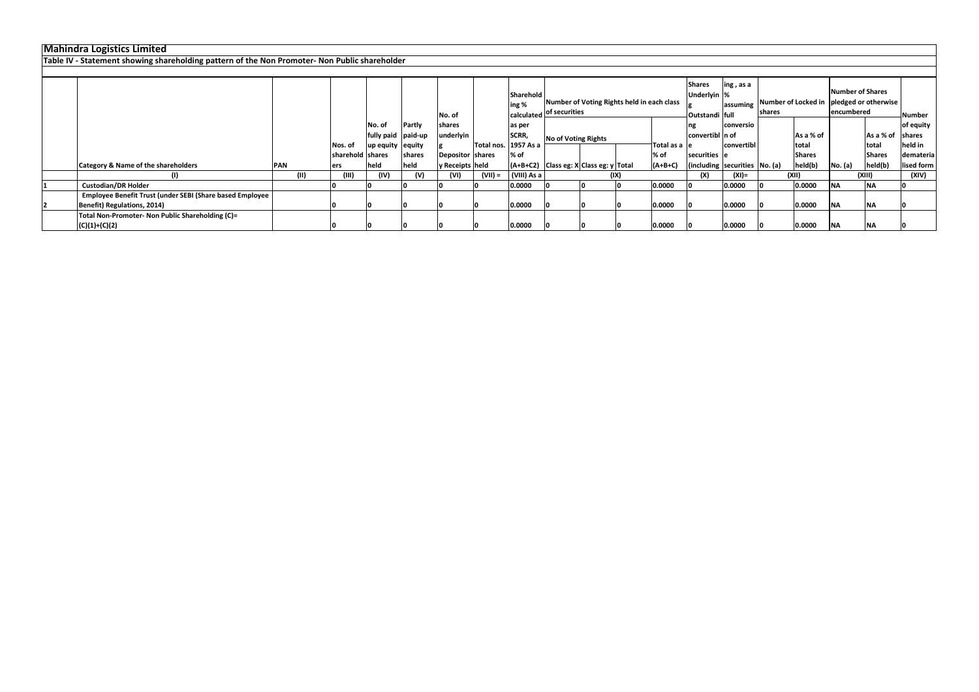| Mahindra Logistics Limited                                                                    |            |      |                  |                    |               |                  |                      |                           |                                            |      |               |                                 |                            |        |               |                  |                                          |               |
|-----------------------------------------------------------------------------------------------|------------|------|------------------|--------------------|---------------|------------------|----------------------|---------------------------|--------------------------------------------|------|---------------|---------------------------------|----------------------------|--------|---------------|------------------|------------------------------------------|---------------|
| Table IV - Statement showing shareholding pattern of the Non Promoter- Non Public shareholder |            |      |                  |                    |               |                  |                      |                           |                                            |      |               |                                 |                            |        |               |                  |                                          |               |
|                                                                                               |            |      |                  |                    |               |                  |                      |                           |                                            |      |               |                                 |                            |        |               |                  |                                          |               |
|                                                                                               |            |      |                  |                    |               |                  |                      | <b>Sharehold</b><br>ing % | Number of Voting Rights held in each class |      |               | <b>Shares</b><br>Underlyin %    | $\ln g$ , as a<br>assuming |        |               | Number of Shares | Number of Locked in pledged or otherwise |               |
|                                                                                               |            |      |                  |                    |               | No. of           |                      |                           | calculated of securities                   |      |               | Outstandi full                  |                            | shares |               | encumbered       |                                          | <b>Number</b> |
|                                                                                               |            |      |                  | No. of             | <b>Partly</b> | shares           |                      | as per                    |                                            |      |               |                                 | conversio                  |        |               |                  |                                          | of equity     |
|                                                                                               |            |      |                  | fully paid paid-up |               | underlyin        |                      | SCRR,                     | No of Voting Rights                        |      |               | convertibl In of                |                            |        | As a % of     |                  | As a % of shares                         |               |
|                                                                                               |            |      | Nos. of          | up equity equity   |               |                  | Total nos. 1957 As a |                           |                                            |      | Total as a le |                                 | convertibl                 |        | Itotal        |                  | total                                    | held in       |
|                                                                                               |            |      | sharehold shares |                    | <b>shares</b> | Depositor shares |                      | % of                      |                                            |      | % of          | securities le                   |                            |        | <b>Shares</b> |                  | <b>Shares</b>                            | demateria     |
| <b>Category &amp; Name of the shareholders</b>                                                | <b>PAN</b> |      | ers              | held               | held          | y Receipts held  |                      |                           | (A+B+C2) Class eg: X Class eg: y Total     |      | $(A+B+C)$     | (including securities   No. (a) |                            |        | held(b)       | No. (a)          | held(b)                                  | lised form    |
|                                                                                               |            | (11) |                  | (IV)               | (V)           | (VI)             | (VII) =              | (VIII) As a               |                                            | (IX) |               | (X)                             | (XI)=                      |        | (XII)         | (XIII)           |                                          | (XIV)         |
| <b>Custodian/DR Holder</b>                                                                    |            |      |                  |                    |               |                  |                      | 0.0000                    |                                            |      | 0.0000        |                                 | 0.0000                     |        | 0.0000        | <b>NA</b>        | <b>NA</b>                                |               |
| Employee Benefit Trust (under SEBI (Share based Employee                                      |            |      |                  |                    |               |                  |                      |                           |                                            |      |               |                                 |                            |        |               |                  |                                          |               |
| Benefit) Regulations, 2014)                                                                   |            |      |                  |                    |               |                  |                      | 0.0000                    |                                            |      | 0.0000        |                                 | 0.0000                     |        | 0.0000        | <b>INA</b>       | <b>INA</b>                               |               |
| Total Non-Promoter- Non Public Shareholding (C)=                                              |            |      |                  |                    |               |                  |                      |                           |                                            |      |               |                                 |                            |        |               |                  |                                          |               |
| $(C)(1)+(C)(2)$                                                                               |            |      |                  |                    |               |                  |                      | 0.0000                    |                                            |      | 0.0000        |                                 | 0.0000                     |        | 0.0000        | <b>INA</b>       | <b>INA</b>                               |               |

### **Mahindra Logistics Limited**